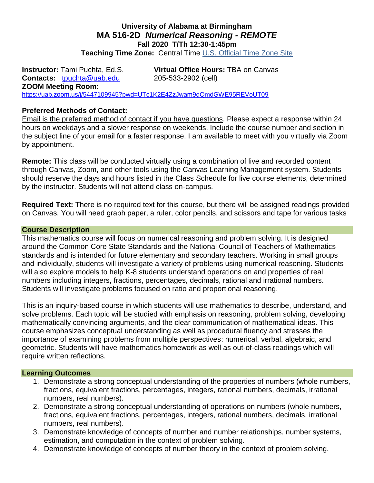#### **University of Alabama at Birmingham MA 516-2D** *Numerical Reasoning - REMOTE* **Fall 2020 T/Th 12:30-1:45pm Teaching Time Zone:** Central Time [U.S. Official Time Zone Site](http://24timezones.com/us_clock/usa_time.php)

**Instructor:** Tami Puchta, Ed.S. **Virtual Office Hours:** TBA on Canvas **Contacts:** [tpuchta@uab.edu](mailto:tpuchta@uab.edu) 205-533-2902 (cell) **ZOOM Meeting Room:** <https://uab.zoom.us/j/5447109945?pwd=UTc1K2E4ZzJwam9qQmdGWE95REVoUT09>

#### **Preferred Methods of Contact:**

Email is the preferred method of contact if you have questions. Please expect a response within 24 hours on weekdays and a slower response on weekends. Include the course number and section in the subject line of your email for a faster response. I am available to meet with you virtually via Zoom by appointment.

**Remote:** This class will be conducted virtually using a combination of live and recorded content through Canvas, Zoom, and other tools using the Canvas Learning Management system. Students should reserve the days and hours listed in the Class Schedule for live course elements, determined by the instructor. Students will not attend class on-campus.

**Required Text:** There is no required text for this course, but there will be assigned readings provided on Canvas. You will need graph paper, a ruler, color pencils, and scissors and tape for various tasks

#### **Course Description**

This mathematics course will focus on numerical reasoning and problem solving. It is designed around the Common Core State Standards and the National Council of Teachers of Mathematics standards and is intended for future elementary and secondary teachers. Working in small groups and individually, students will investigate a variety of problems using numerical reasoning. Students will also explore models to help K-8 students understand operations on and properties of real numbers including integers, fractions, percentages, decimals, rational and irrational numbers. Students will investigate problems focused on ratio and proportional reasoning.

This is an inquiry-based course in which students will use mathematics to describe, understand, and solve problems. Each topic will be studied with emphasis on reasoning, problem solving, developing mathematically convincing arguments, and the clear communication of mathematical ideas. This course emphasizes conceptual understanding as well as procedural fluency and stresses the importance of examining problems from multiple perspectives: numerical, verbal, algebraic, and geometric. Students will have mathematics homework as well as out-of-class readings which will require written reflections.

#### **Learning Outcomes**

- 1. Demonstrate a strong conceptual understanding of the properties of numbers (whole numbers, fractions, equivalent fractions, percentages, integers, rational numbers, decimals, irrational numbers, real numbers).
- 2. Demonstrate a strong conceptual understanding of operations on numbers (whole numbers, fractions, equivalent fractions, percentages, integers, rational numbers, decimals, irrational numbers, real numbers).
- 3. Demonstrate knowledge of concepts of number and number relationships, number systems, estimation, and computation in the context of problem solving.
- 4. Demonstrate knowledge of concepts of number theory in the context of problem solving.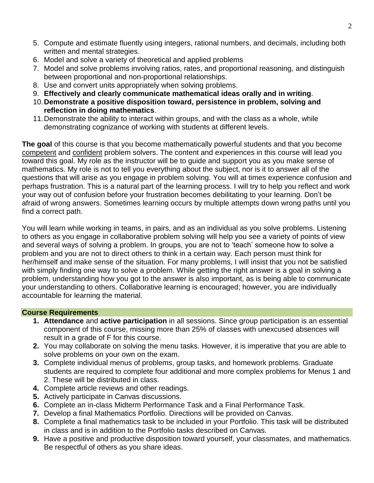- 5. Compute and estimate fluently using integers, rational numbers, and decimals, including both written and mental strategies.
- 6. Model and solve a variety of theoretical and applied problems
- 7. Model and solve problems involving ratios, rates, and proportional reasoning, and distinguish between proportional and non-proportional relationships.
- 8. Use and convert units appropriately when solving problems.
- 9. **Effectively and clearly communicate mathematical ideas orally and in writing**.
- 10.**Demonstrate a positive disposition toward, persistence in problem, solving and reflection in doing mathematics**.
- 11.Demonstrate the ability to interact within groups, and with the class as a whole, while demonstrating cognizance of working with students at different levels.

**The goal** of this course is that you become mathematically powerful students and that you become competent and confident problem solvers. The content and experiences in this course will lead you toward this goal. My role as the instructor will be to guide and support you as you make sense of mathematics. My role is not to tell you everything about the subject, nor is it to answer all of the questions that will arise as you engage in problem solving. You will at times experience confusion and perhaps frustration. This is a natural part of the learning process. I will try to help you reflect and work your way out of confusion before your frustration becomes debilitating to your learning. Don't be afraid of wrong answers. Sometimes learning occurs by multiple attempts down wrong paths until you find a correct path.

You will learn while working in teams, in pairs, and as an individual as you solve problems. Listening to others as you engage in collaborative problem solving will help you see a variety of points of view and several ways of solving a problem. In groups, you are not to 'teach' someone how to solve a problem and you are not to direct others to think in a certain way. Each person must think for her/himself and make sense of the situation. For many problems, I will insist that you not be satisfied with simply finding one way to solve a problem. While getting the right answer is a goal in solving a problem, understanding how you got to the answer is also important, as is being able to communicate your understanding to others. Collaborative learning is encouraged; however, you are individually accountable for learning the material.

### **Course Requirements**

- **1. Attendance** and **active participation** in all sessions. Since group participation is an essential component of this course, missing more than 25% of classes with unexcused absences will result in a grade of F for this course.
- **2.** You may collaborate on solving the menu tasks. However, it is imperative that you are able to solve problems on your own on the exam.
- **3.** Complete individual menus of problems, group tasks, and homework problems. Graduate students are required to complete four additional and more complex problems for Menus 1 and 2. These will be distributed in class.
- **4.** Complete article reviews and other readings.
- **5.** Actively participate in Canvas discussions.
- **6.** Complete an in-class Midterm Performance Task and a Final Performance Task.
- **7.** Develop a final Mathematics Portfolio. Directions will be provided on Canvas.
- **8.** Complete a final mathematics task to be included in your Portfolio. This task will be distributed in class and is in addition to the Portfolio tasks described on Canvas.
- **9.** Have a positive and productive disposition toward yourself, your classmates, and mathematics. Be respectful of others as you share ideas.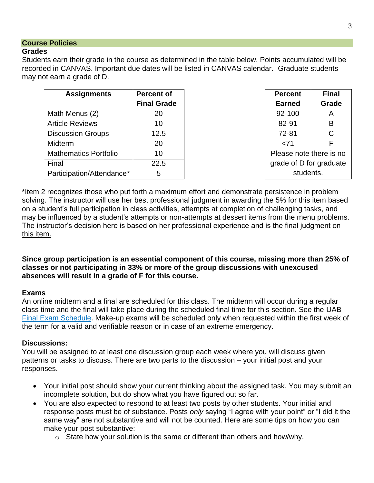### **Course Policies**

### **Grades**

Students earn their grade in the course as determined in the table below. Points accumulated will be recorded in CANVAS. Important due dates will be listed in CANVAS calendar. Graduate students may not earn a grade of D.

| <b>Assignments</b>           | <b>Percent of</b>  | <b>Percent</b>          | <b>Final</b> |
|------------------------------|--------------------|-------------------------|--------------|
|                              | <b>Final Grade</b> | <b>Earned</b>           | Grade        |
| Math Menus (2)               | 20                 | 92-100                  | A            |
| <b>Article Reviews</b>       | 10                 | 82-91                   | B            |
| <b>Discussion Groups</b>     | 12.5               | 72-81                   |              |
| <b>Midterm</b>               | 20                 | < 71                    |              |
| <b>Mathematics Portfolio</b> | 10                 | Please note there is no |              |
| Final                        | 22.5               | grade of D for graduate |              |
| Participation/Attendance*    | 5                  | students.               |              |

| <b>Percent</b>          | <b>Final</b> |  |  |  |
|-------------------------|--------------|--|--|--|
| <b>Earned</b>           | Grade        |  |  |  |
| 92-100                  | А            |  |  |  |
| 82-91                   | в            |  |  |  |
| 72-81                   | С            |  |  |  |
| 71>                     | F            |  |  |  |
| Please note there is no |              |  |  |  |
| grade of D for graduate |              |  |  |  |
| students.               |              |  |  |  |

\*Item 2 recognizes those who put forth a maximum effort and demonstrate persistence in problem solving. The instructor will use her best professional judgment in awarding the 5% for this item based on a student's full participation in class activities, attempts at completion of challenging tasks, and may be influenced by a student's attempts or non-attempts at dessert items from the menu problems. The instructor's decision here is based on her professional experience and is the final judgment on this item.

**Since group participation is an essential component of this course, missing more than 25% of classes or not participating in 33% or more of the group discussions with unexcused absences will result in a grade of F for this course.**

### **Exams**

An online midterm and a final are scheduled for this class. The midterm will occur during a regular class time and the final will take place during the scheduled final time for this section. See the UAB [Final Exam Schedule.](https://www.uab.edu/students/academics/final-exams) Make-up exams will be scheduled only when requested within the first week of the term for a valid and verifiable reason or in case of an extreme emergency.

### **Discussions:**

You will be assigned to at least one discussion group each week where you will discuss given patterns or tasks to discuss. There are two parts to the discussion – your initial post and your responses.

- Your initial post should show your current thinking about the assigned task. You may submit an incomplete solution, but do show what you have figured out so far.
- You are also expected to respond to at least two posts by other students. Your initial and response posts must be of substance. Posts *only* saying "I agree with your point" or "I did it the same way" are not substantive and will not be counted. Here are some tips on how you can make your post substantive:
	- o State how your solution is the same or different than others and how/why.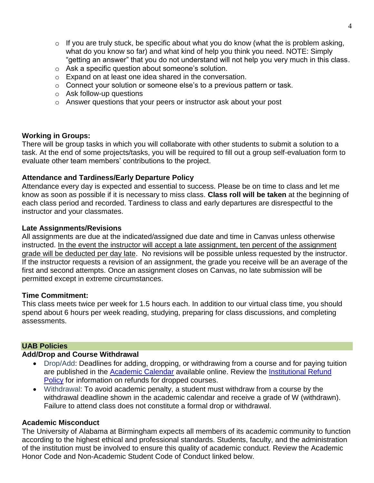- $\circ$  If you are truly stuck, be specific about what you do know (what the is problem asking, what do you know so far) and what kind of help you think you need. NOTE: Simply "getting an answer" that you do not understand will not help you very much in this class.
- o Ask a specific question about someone's solution.
- o Expand on at least one idea shared in the conversation.
- o Connect your solution or someone else's to a previous pattern or task.
- o Ask follow-up questions
- o Answer questions that your peers or instructor ask about your post

### **Working in Groups:**

There will be group tasks in which you will collaborate with other students to submit a solution to a task. At the end of some projects/tasks, you will be required to fill out a group self-evaluation form to evaluate other team members' contributions to the project.

# **Attendance and Tardiness/Early Departure Policy**

Attendance every day is expected and essential to success. Please be on time to class and let me know as soon as possible if it is necessary to miss class. **Class roll will be taken** at the beginning of each class period and recorded. Tardiness to class and early departures are disrespectful to the instructor and your classmates.

### **Late Assignments/Revisions**

All assignments are due at the indicated/assigned due date and time in Canvas unless otherwise instructed. In the event the instructor will accept a late assignment, ten percent of the assignment grade will be deducted per day late. No revisions will be possible unless requested by the instructor. If the instructor requests a revision of an assignment, the grade you receive will be an average of the first and second attempts. Once an assignment closes on Canvas, no late submission will be permitted except in extreme circumstances.

### **Time Commitment:**

This class meets twice per week for 1.5 hours each. In addition to our virtual class time, you should spend about 6 hours per week reading, studying, preparing for class discussions, and completing assessments.

### **UAB Policies**

### **Add/Drop and Course Withdrawal**

- Drop/Add: Deadlines for adding, dropping, or withdrawing from a course and for paying tuition are published in the [Academic Calendar](https://www.uab.edu/students/academics/academic-calendar) available online. Review the [Institutional Refund](https://www.uab.edu/students/one-stop/policies/institutional-refund-policy)  [Policy](https://www.uab.edu/students/one-stop/policies/institutional-refund-policy) for information on refunds for dropped courses.
- Withdrawal: To avoid academic penalty, a student must withdraw from a course by the withdrawal deadline shown in the academic calendar and receive a grade of W (withdrawn). Failure to attend class does not constitute a formal drop or withdrawal.

# **Academic Misconduct**

The University of Alabama at Birmingham expects all members of its academic community to function according to the highest ethical and professional standards. Students, faculty, and the administration of the institution must be involved to ensure this quality of academic conduct. Review the Academic Honor Code and Non-Academic Student Code of Conduct linked below.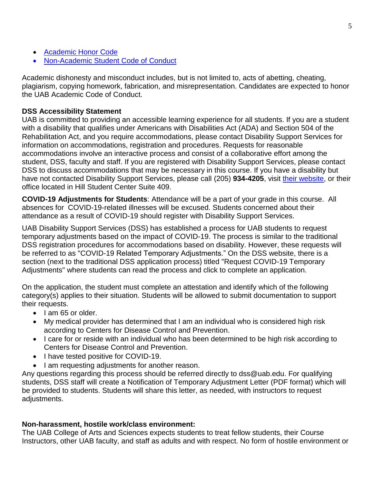- [Academic Honor Code](http://www.uab.edu/students/one-stop/policies/academic-honor-code)
- [Non-Academic Student Code of Conduct](http://www.uab.edu/studentconduct)

Academic dishonesty and misconduct includes, but is not limited to, acts of abetting, cheating, plagiarism, copying homework, fabrication, and misrepresentation. Candidates are expected to honor the UAB Academic Code of Conduct.

### **DSS Accessibility Statement**

UAB is committed to providing an accessible learning experience for all students. If you are a student with a disability that qualifies under Americans with Disabilities Act (ADA) and Section 504 of the Rehabilitation Act, and you require accommodations, please contact Disability Support Services for information on accommodations, registration and procedures. Requests for reasonable accommodations involve an interactive process and consist of a collaborative effort among the student, DSS, faculty and staff. If you are registered with Disability Support Services, please contact DSS to discuss accommodations that may be necessary in this course. If you have a disability but have not contacted Disability Support Services, please call (205) **934-4205**, visit [their website,](http://www.uab.edu/dss) or their office located in Hill Student Center Suite 409.

**COVID-19 Adjustments for Students**: Attendance will be a part of your grade in this course. All absences for COVID-19-related illnesses will be excused. Students concerned about their attendance as a result of COVID-19 should register with Disability Support Services.

UAB Disability Support Services (DSS) has established a process for UAB students to request temporary adjustments based on the impact of COVID-19. The process is similar to the traditional DSS registration procedures for accommodations based on disability. However, these requests will be referred to as "COVID-19 Related Temporary Adjustments." On the DSS website, there is a section (next to the traditional DSS application process) titled "Request COVID-19 Temporary Adjustments" where students can read the process and click to complete an application.

On the application, the student must complete an attestation and identify which of the following category(s) applies to their situation. Students will be allowed to submit documentation to support their requests.

- $\bullet$  lam 65 or older.
- My medical provider has determined that I am an individual who is considered high risk according to Centers for Disease Control and Prevention.
- I care for or reside with an individual who has been determined to be high risk according to Centers for Disease Control and Prevention.
- I have tested positive for COVID-19.
- I am requesting adjustments for another reason.

Any questions regarding this process should be referred directly to dss@uab.edu. For qualifying students, DSS staff will create a Notification of Temporary Adjustment Letter (PDF format) which will be provided to students. Students will share this letter, as needed, with instructors to request adjustments.

### **Non-harassment, hostile work/class environment:**

The UAB College of Arts and Sciences expects students to treat fellow students, their Course Instructors, other UAB faculty, and staff as adults and with respect. No form of hostile environment or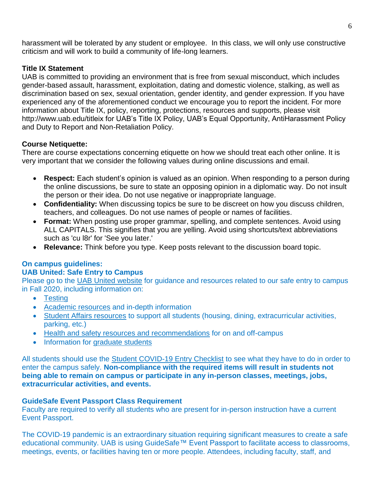harassment will be tolerated by any student or employee. In this class, we will only use constructive criticism and will work to build a community of life-long learners.

### **Title IX Statement**

UAB is committed to providing an environment that is free from sexual misconduct, which includes gender-based assault, harassment, exploitation, dating and domestic violence, stalking, as well as discrimination based on sex, sexual orientation, gender identity, and gender expression. If you have experienced any of the aforementioned conduct we encourage you to report the incident. For more information about Title IX, policy, reporting, protections, resources and supports, please visit http://www.uab.edu/titleix for UAB's Title IX Policy, UAB's Equal Opportunity, AntiHarassment Policy and Duty to Report and Non-Retaliation Policy.

### **Course Netiquette:**

There are course expectations concerning etiquette on how we should treat each other online. It is very important that we consider the following values during online discussions and email.

- **Respect:** Each student's opinion is valued as an opinion. When responding to a person during the online discussions, be sure to state an opposing opinion in a diplomatic way. Do not insult the person or their idea. Do not use negative or inappropriate language.
- **Confidentiality:** When discussing topics be sure to be discreet on how you discuss children, teachers, and colleagues. Do not use names of people or names of facilities.
- **Format:** When posting use proper grammar, spelling, and complete sentences. Avoid using ALL CAPITALS. This signifies that you are yelling. Avoid using shortcuts/text abbreviations such as 'cu l8r' for 'See you later.'
- **Relevance:** Think before you type. Keep posts relevant to the discussion board topic.

# **On campus guidelines:**

### **UAB United: Safe Entry to Campus**

Please go to the [UAB United website](https://www.uab.edu/uabunited/students) for guidance and resources related to our safe entry to campus in Fall 2020, including information on:

- [Testing](https://www.uab.edu/uabunited/students/testing)
- [Academic resources](https://www.uab.edu/uabunited/students/academics) and in-depth information
- [Student Affairs resources](https://www.uab.edu/uabunited/students/student-affairs) to support all students (housing, dining, extracurricular activities, parking, etc.)
- [Health and safety resources and recommendations](https://www.uab.edu/uabunited/students/health-safety) for on and off-campus
- Information for [graduate students](https://www.uab.edu/graduate/about/graduate-school-covid-19-updates)

All students should use the [Student COVID-19 Entry Checklist](https://www.uab.edu/uabunited/entry-checklists#student-checklist) to see what they have to do in order to enter the campus safely. **Non-compliance with the required items will result in students not being able to remain on campus or participate in any in-person classes, meetings, jobs, extracurricular activities, and events.**

# **GuideSafe Event Passport Class Requirement**

Faculty are required to verify all students who are present for in-person instruction have a current Event Passport.

The COVID-19 pandemic is an extraordinary situation requiring significant measures to create a safe educational community. UAB is using GuideSafe™ Event Passport to facilitate access to classrooms, meetings, events, or facilities having ten or more people. Attendees, including faculty, staff, and